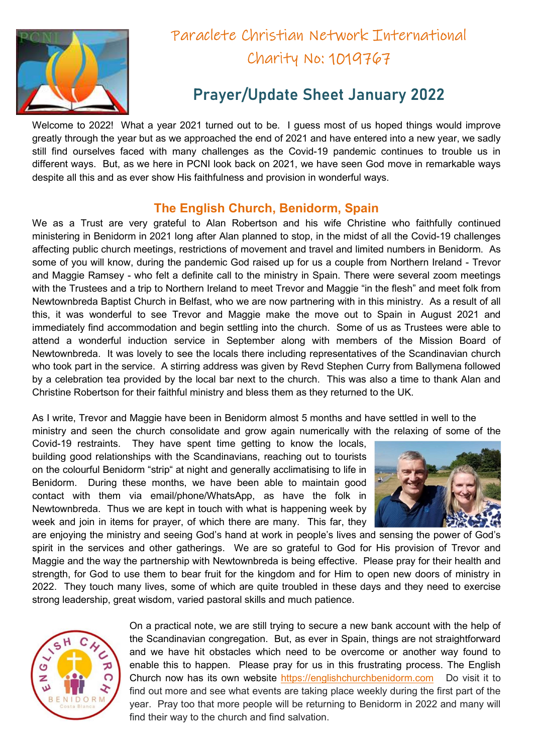

## Paraclete Christian Network International Charity No: 1019767

## Prayer/Update Sheet January 2022

Welcome to 2022! What a year 2021 turned out to be. I guess most of us hoped things would improve greatly through the year but as we approached the end of 2021 and have entered into a new year, we sadly still find ourselves faced with many challenges as the Covid-19 pandemic continues to trouble us in different ways. But, as we here in PCNI look back on 2021, we have seen God move in remarkable ways despite all this and as ever show His faithfulness and provision in wonderful ways.

## The English Church, Benidorm, Spain

We as a Trust are very grateful to Alan Robertson and his wife Christine who faithfully continued ministering in Benidorm in 2021 long after Alan planned to stop, in the midst of all the Covid-19 challenges affecting public church meetings, restrictions of movement and travel and limited numbers in Benidorm. As some of you will know, during the pandemic God raised up for us a couple from Northern Ireland - Trevor and Maggie Ramsey - who felt a definite call to the ministry in Spain. There were several zoom meetings with the Trustees and a trip to Northern Ireland to meet Trevor and Maggie "in the flesh" and meet folk from Newtownbreda Baptist Church in Belfast, who we are now partnering with in this ministry. As a result of all this, it was wonderful to see Trevor and Maggie make the move out to Spain in August 2021 and immediately find accommodation and begin settling into the church. Some of us as Trustees were able to attend a wonderful induction service in September along with members of the Mission Board of Newtownbreda. It was lovely to see the locals there including representatives of the Scandinavian church who took part in the service. A stirring address was given by Revd Stephen Curry from Ballymena followed by a celebration tea provided by the local bar next to the church. This was also a time to thank Alan and Christine Robertson for their faithful ministry and bless them as they returned to the UK.

As I write, Trevor and Maggie have been in Benidorm almost 5 months and have settled in well to the

ministry and seen the church consolidate and grow again numerically with the relaxing of some of the

Covid-19 restraints. They have spent time getting to know the locals, building good relationships with the Scandinavians, reaching out to tourists on the colourful Benidorm "strip" at night and generally acclimatising to life in Benidorm. During these months, we have been able to maintain good contact with them via email/phone/WhatsApp, as have the folk in Newtownbreda. Thus we are kept in touch with what is happening week by week and join in items for prayer, of which there are many. This far, they



are enjoying the ministry and seeing God's hand at work in people's lives and sensing the power of God's spirit in the services and other gatherings. We are so grateful to God for His provision of Trevor and Maggie and the way the partnership with Newtownbreda is being effective. Please pray for their health and strength, for God to use them to bear fruit for the kingdom and for Him to open new doors of ministry in 2022. They touch many lives, some of which are quite troubled in these days and they need to exercise strong leadership, great wisdom, varied pastoral skills and much patience.



On a practical note, we are still trying to secure a new bank account with the help of the Scandinavian congregation. But, as ever in Spain, things are not straightforward and we have hit obstacles which need to be overcome or another way found to enable this to happen. Please pray for us in this frustrating process. The English Church now has its own website https://englishchurchbenidorm.com Do visit it to find out more and see what events are taking place weekly during the first part of the year. Pray too that more people will be returning to Benidorm in 2022 and many will find their way to the church and find salvation.